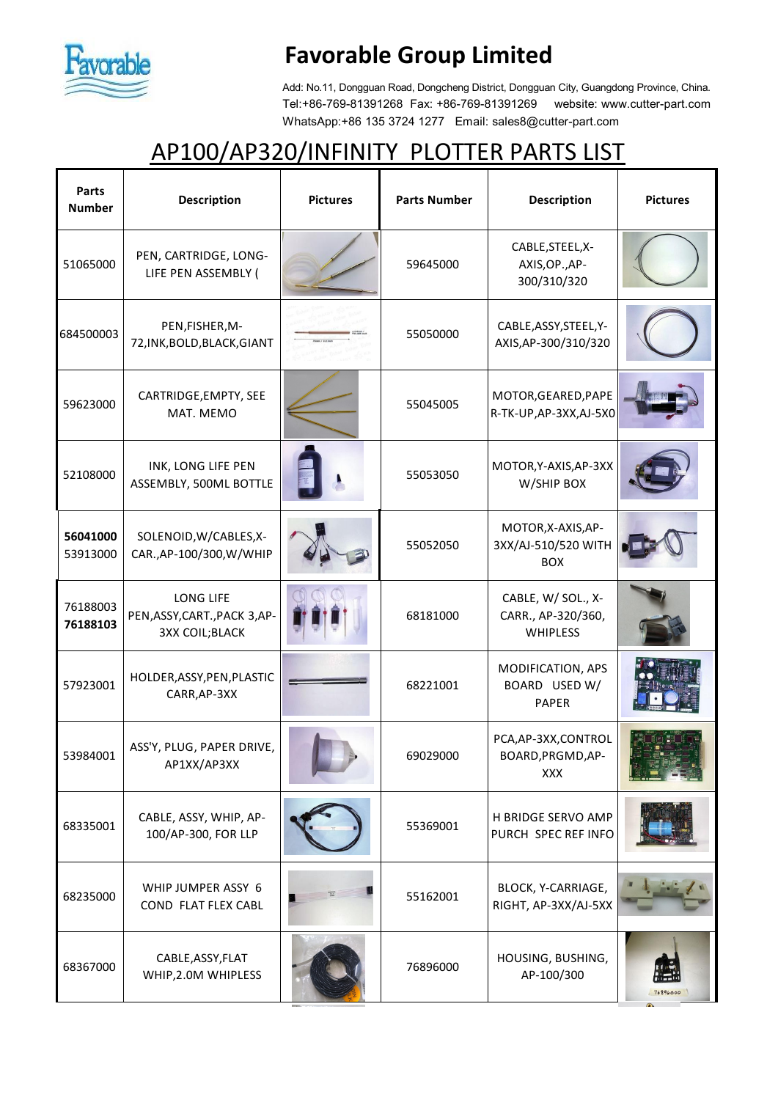

## **Favorable Group Limited**

Add: No.11, Dongguan Road, Dongcheng District, Dongguan City, Guangdong Province, China. Tel:+86-769-81391268 Fax: +86-769-81391269 website: www.cutter-part.com WhatsApp:+86 135 3724 1277 Email: sales8@cutter-part.com

## AP100/AP320/INFINITY PLOTTER PARTS LIST

| Parts<br><b>Number</b> | <b>Description</b>                                                  | <b>Pictures</b> | <b>Parts Number</b> | <b>Description</b>                                          | <b>Pictures</b> |
|------------------------|---------------------------------------------------------------------|-----------------|---------------------|-------------------------------------------------------------|-----------------|
| 51065000               | PEN, CARTRIDGE, LONG-<br>LIFE PEN ASSEMBLY (                        |                 | 59645000            | CABLE, STEEL, X-<br>AXIS, OP., AP-<br>300/310/320           |                 |
| 684500003              | PEN, FISHER, M-<br>72, INK, BOLD, BLACK, GIANT                      |                 | 55050000            | CABLE, ASSY, STEEL, Y-<br>AXIS, AP-300/310/320              |                 |
| 59623000               | CARTRIDGE, EMPTY, SEE<br>MAT. MEMO                                  |                 | 55045005            | MOTOR, GEARED, PAPE<br>R-TK-UP, AP-3XX, AJ-5X0              |                 |
| 52108000               | INK, LONG LIFE PEN<br>ASSEMBLY, 500ML BOTTLE                        |                 | 55053050            | MOTOR, Y-AXIS, AP-3XX<br>W/SHIP BOX                         |                 |
| 56041000<br>53913000   | SOLENOID, W/CABLES, X-<br>CAR., AP-100/300, W/WHIP                  |                 | 55052050            | MOTOR, X-AXIS, AP-<br>3XX/AJ-510/520 WITH<br><b>BOX</b>     |                 |
| 76188003<br>76188103   | LONG LIFE<br>PEN, ASSY, CART., PACK 3, AP-<br><b>3XX COIL;BLACK</b> |                 | 68181000            | CABLE, W/ SOL., X-<br>CARR., AP-320/360,<br><b>WHIPLESS</b> |                 |
| 57923001               | HOLDER, ASSY, PEN, PLASTIC<br>CARR, AP-3XX                          |                 | 68221001            | MODIFICATION, APS<br>BOARD USED W/<br><b>PAPER</b>          |                 |
| 53984001               | ASS'Y, PLUG, PAPER DRIVE,<br>AP1XX/AP3XX                            |                 | 69029000            | PCA, AP-3XX, CONTROL<br>BOARD, PRGMD, AP-<br><b>XXX</b>     |                 |
| 68335001               | CABLE, ASSY, WHIP, AP-<br>100/AP-300, FOR LLP                       |                 | 55369001            | H BRIDGE SERVO AMP<br>PURCH SPEC REF INFO                   |                 |
| 68235000               | WHIP JUMPER ASSY 6<br>COND FLAT FLEX CABL                           |                 | 55162001            | BLOCK, Y-CARRIAGE,<br>RIGHT, AP-3XX/AJ-5XX                  |                 |
| 68367000               | CABLE, ASSY, FLAT<br>WHIP, 2.0M WHIPLESS                            |                 | 76896000            | HOUSING, BUSHING,<br>AP-100/300                             | 76896000        |